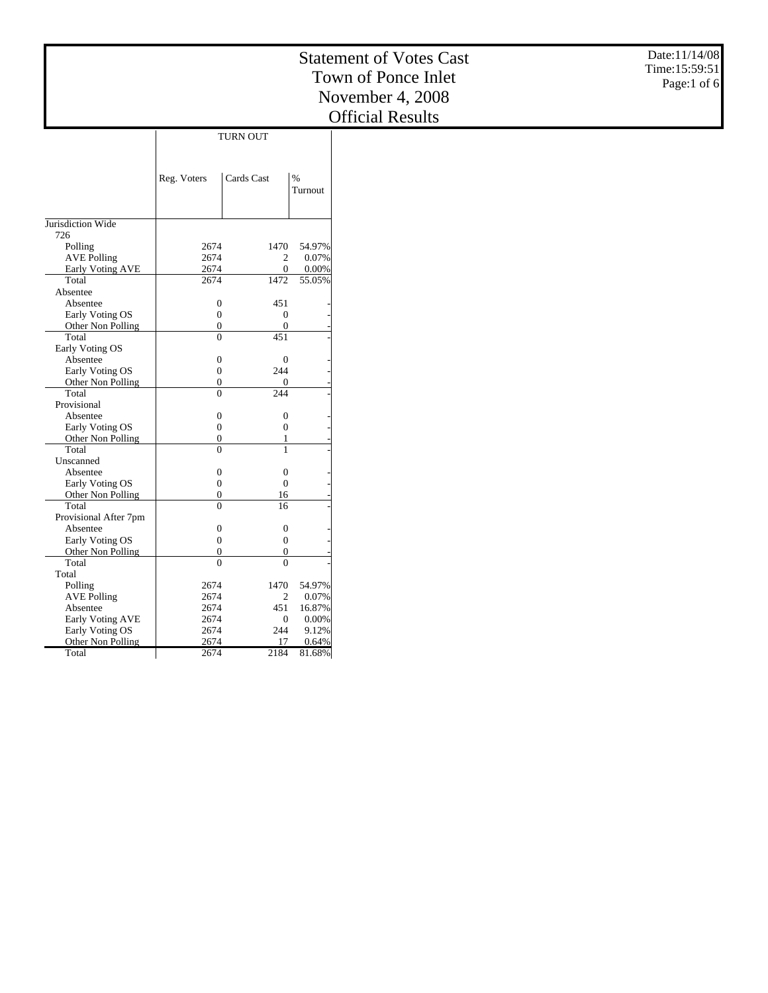|                            |                                      |                                    |                 | Date:11/14/08<br><b>Statement of Votes Cast</b><br>Time:15:59:51 |
|----------------------------|--------------------------------------|------------------------------------|-----------------|------------------------------------------------------------------|
|                            |                                      |                                    |                 | Town of Ponce Inlet                                              |
|                            |                                      |                                    |                 | Page:1 of 6                                                      |
|                            |                                      |                                    |                 | November 4, 2008                                                 |
|                            |                                      |                                    |                 | <b>Official Results</b>                                          |
|                            |                                      |                                    |                 |                                                                  |
|                            |                                      | <b>TURN OUT</b>                    |                 |                                                                  |
|                            |                                      |                                    |                 |                                                                  |
|                            |                                      |                                    |                 |                                                                  |
|                            | Reg. Voters                          | Cards Cast                         | $\%$<br>Turnout |                                                                  |
|                            |                                      |                                    |                 |                                                                  |
|                            |                                      |                                    |                 |                                                                  |
| Jurisdiction Wide          |                                      |                                    |                 |                                                                  |
| 726                        |                                      |                                    |                 |                                                                  |
| Polling                    | 2674                                 | 1470                               | 54.97%          |                                                                  |
| <b>AVE Polling</b>         | 2674                                 | $\overline{c}$                     | 0.07%           |                                                                  |
| <b>Early Voting AVE</b>    | 2674                                 | $\boldsymbol{0}$                   | 0.00%           |                                                                  |
| Total                      | 2674                                 | 1472                               | 55.05%          |                                                                  |
| Absentee                   |                                      |                                    |                 |                                                                  |
| Absentee                   | $\boldsymbol{0}$                     | 451                                |                 |                                                                  |
| Early Voting OS            | $\boldsymbol{0}$                     | $\boldsymbol{0}$                   |                 |                                                                  |
| Other Non Polling          | $\boldsymbol{0}$                     | $\mathbf{0}$                       |                 |                                                                  |
| Total                      | $\Omega$                             | 451                                |                 |                                                                  |
| Early Voting OS            |                                      |                                    |                 |                                                                  |
| Absentee                   | $\boldsymbol{0}$                     | $\boldsymbol{0}$                   |                 |                                                                  |
| Early Voting OS            | $\boldsymbol{0}$                     | 244                                |                 |                                                                  |
| Other Non Polling          | $\boldsymbol{0}$                     | $\overline{0}$                     |                 |                                                                  |
| Total                      | $\overline{0}$                       | 244                                |                 |                                                                  |
| Provisional                |                                      |                                    |                 |                                                                  |
| Absentee                   | $\boldsymbol{0}$                     | $\boldsymbol{0}$                   |                 |                                                                  |
| Early Voting OS            | $\boldsymbol{0}$                     | $\boldsymbol{0}$                   |                 |                                                                  |
| Other Non Polling          | $\boldsymbol{0}$<br>$\theta$         | $\mathbf{1}$<br>$\mathbf{1}$       |                 |                                                                  |
| Total                      |                                      |                                    |                 |                                                                  |
| Unscanned<br>Absentee      |                                      |                                    |                 |                                                                  |
|                            | $\boldsymbol{0}$<br>$\boldsymbol{0}$ | $\boldsymbol{0}$<br>$\overline{0}$ |                 |                                                                  |
| Early Voting OS            | $\boldsymbol{0}$                     | 16                                 |                 |                                                                  |
| Other Non Polling<br>Total | $\overline{0}$                       | $\overline{16}$                    |                 |                                                                  |
| Provisional After 7pm      |                                      |                                    |                 |                                                                  |
| Absentee                   | $\boldsymbol{0}$                     | $\boldsymbol{0}$                   |                 |                                                                  |
| Early Voting OS            | $\boldsymbol{0}$                     | $\boldsymbol{0}$                   |                 |                                                                  |
| Other Non Polling          | $\boldsymbol{0}$                     | $\boldsymbol{0}$                   |                 |                                                                  |
| Total                      | $\overline{0}$                       | $\overline{0}$                     |                 |                                                                  |
| Total                      |                                      |                                    |                 |                                                                  |
| Polling                    | 2674                                 | 1470                               | 54.97%          |                                                                  |
| <b>AVE Polling</b>         | 2674                                 | $\overline{2}$                     | 0.07%           |                                                                  |
| Absentee                   | 2674                                 | 451                                | 16.87%          |                                                                  |
| Early Voting AVE           | 2674                                 | $\mathbf{0}$                       | 0.00%           |                                                                  |
| Early Voting OS            | 2674                                 | 244                                | 9.12%           |                                                                  |

Other Non Polling

2674 17 0.64% 2674 2184 81.68%

Total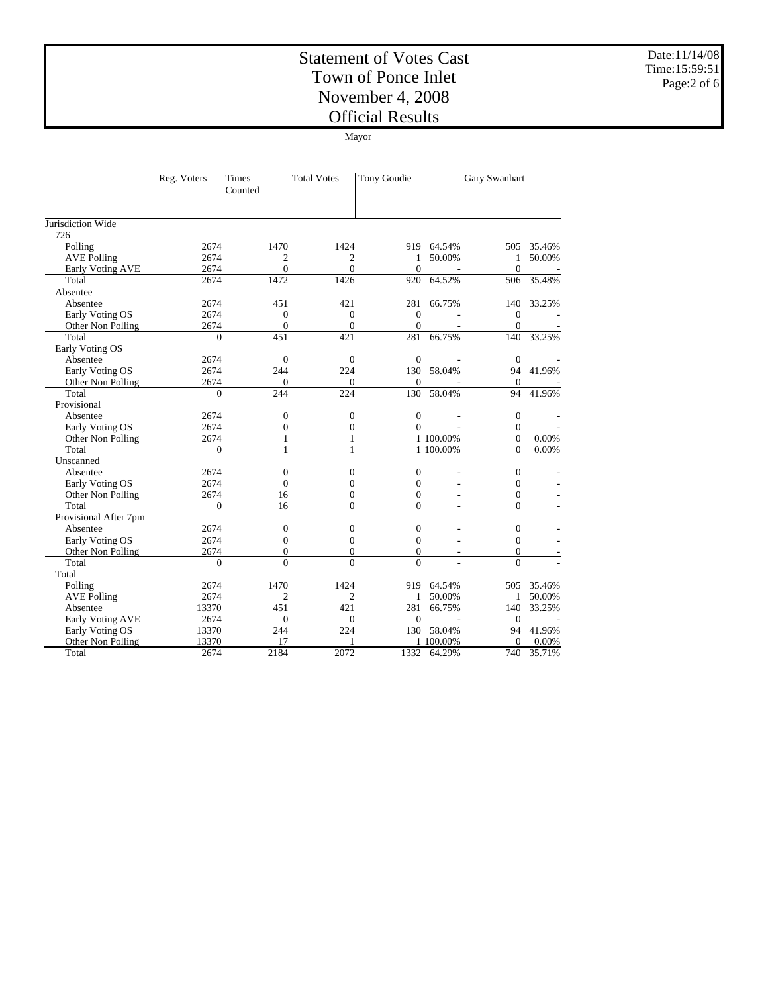Date:11/14/08 Time:15:59:51 Page:2 of 6

| THUIAL IV |  |
|-----------|--|
| Mayor     |  |

|                       | Reg. Voters | Times<br>Counted | <b>Total Votes</b> | Tony Goudie      |            | Gary Swanhart    |        |
|-----------------------|-------------|------------------|--------------------|------------------|------------|------------------|--------|
| Jurisdiction Wide     |             |                  |                    |                  |            |                  |        |
| 726                   |             |                  |                    |                  |            |                  |        |
| Polling               | 2674        | 1470             | 1424               |                  | 919 64.54% | 505              | 35.46% |
| <b>AVE Polling</b>    | 2674        | 2                | $\overline{2}$     | 1                | 50.00%     | 1                | 50.00% |
| Early Voting AVE      | 2674        | $\overline{0}$   | $\mathbf{0}$       | $\Omega$         |            | $\Omega$         |        |
| Total                 | 2674        | 1472             | 1426               | 920              | 64.52%     | 506              | 35.48% |
| Absentee              |             |                  |                    |                  |            |                  |        |
| Absentee              | 2674        | 451              | 421                | 281              | 66.75%     | 140              | 33.25% |
| Early Voting OS       | 2674        | $\overline{0}$   | $\mathbf{0}$       | $\mathbf{0}$     |            | $\boldsymbol{0}$ |        |
| Other Non Polling     | 2674        | $\overline{0}$   | $\mathbf{0}$       | $\mathbf{0}$     |            | $\mathbf{0}$     |        |
| Total                 | $\theta$    | 451              | 421                | 281              | 66.75%     | 140              | 33.25% |
| Early Voting OS       |             |                  |                    |                  |            |                  |        |
| Absentee              | 2674        | $\overline{0}$   | $\mathbf{0}$       | $\overline{0}$   |            | $\overline{0}$   |        |
| Early Voting OS       | 2674        | 244              | 224                | 130              | 58.04%     | 94               | 41.96% |
| Other Non Polling     | 2674        | $\Omega$         | $\Omega$           | $\mathbf{0}$     |            | $\theta$         |        |
| Total                 | $\theta$    | 244              | 224                | 130              | 58.04%     | 94               | 41.96% |
| Provisional           |             |                  |                    |                  |            |                  |        |
| Absentee              | 2674        | $\overline{0}$   | $\mathbf{0}$       | $\boldsymbol{0}$ |            | $\mathbf{0}$     |        |
| Early Voting OS       | 2674        | $\boldsymbol{0}$ | $\boldsymbol{0}$   | $\mathbf{0}$     |            | $\boldsymbol{0}$ |        |
| Other Non Polling     | 2674        | 1                | 1                  |                  | 1 100.00%  | $\overline{0}$   | 0.00%  |
| Total                 | $\Omega$    | $\mathbf{1}$     | $\mathbf{1}$       |                  | 1 100.00%  | $\overline{0}$   | 0.00%  |
| Unscanned             |             |                  |                    |                  |            |                  |        |
| Absentee              | 2674        | $\boldsymbol{0}$ | $\boldsymbol{0}$   | $\boldsymbol{0}$ |            | $\boldsymbol{0}$ |        |
| Early Voting OS       | 2674        | $\overline{0}$   | $\mathbf{0}$       | $\mathbf{0}$     |            | $\mathbf{0}$     |        |
| Other Non Polling     | 2674        | 16               | $\overline{0}$     | $\mathbf{0}$     |            | $\overline{0}$   |        |
| Total                 | $\Omega$    | 16               | $\theta$           | $\Omega$         | L.         | $\theta$         |        |
| Provisional After 7pm |             |                  |                    |                  |            |                  |        |
| Absentee              | 2674        | $\boldsymbol{0}$ | $\mathbf{0}$       | $\boldsymbol{0}$ |            | $\boldsymbol{0}$ |        |
| Early Voting OS       | 2674        | $\theta$         | $\overline{0}$     | $\overline{0}$   |            | $\overline{0}$   |        |
| Other Non Polling     | 2674        | $\boldsymbol{0}$ | $\boldsymbol{0}$   | $\mathbf{0}$     |            | $\overline{0}$   |        |
| Total                 | $\Omega$    | $\Omega$         | $\Omega$           | $\Omega$         |            | $\Omega$         |        |
| Total                 |             |                  |                    |                  |            |                  |        |
| Polling               | 2674        | 1470             | 1424               | 919              | 64.54%     | 505              | 35.46% |
| <b>AVE Polling</b>    | 2674        | $\overline{2}$   | $\overline{c}$     | 1                | 50.00%     | $\mathbf{1}$     | 50.00% |
| Absentee              | 13370       | 451              | 421                | 281              | 66.75%     | 140              | 33.25% |
| Early Voting AVE      | 2674        | $\overline{0}$   | $\mathbf{0}$       | $\mathbf{0}$     |            | $\mathbf{0}$     |        |
| Early Voting OS       | 13370       | 244              | 224                | 130              | 58.04%     | 94               | 41.96% |
| Other Non Polling     | 13370       | 17               |                    |                  | 1 100.00%  | $\Omega$         | 0.00%  |
| Total                 | 2674        | 2184             | 2072               | 1332             | 64.29%     | 740              | 35.71% |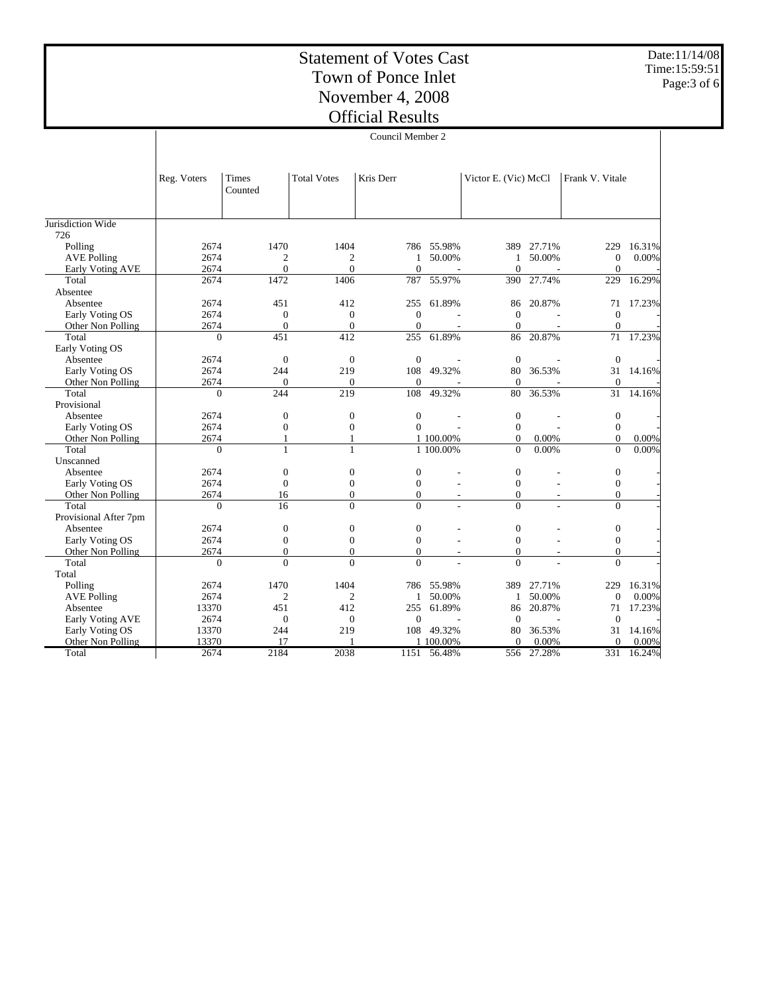Date:11/14/08 Time:15:59:51 Page:3 of 6

|                       | Council Member 2 |                  |                    |                |             |                      |                          |                 |          |
|-----------------------|------------------|------------------|--------------------|----------------|-------------|----------------------|--------------------------|-----------------|----------|
|                       |                  |                  |                    |                |             |                      |                          |                 |          |
|                       | Reg. Voters      | Times<br>Counted | <b>Total Votes</b> | Kris Derr      |             | Victor E. (Vic) McCl |                          | Frank V. Vitale |          |
| Jurisdiction Wide     |                  |                  |                    |                |             |                      |                          |                 |          |
| 726                   |                  |                  |                    |                |             |                      |                          |                 |          |
| Polling               | 2674             | 1470             | 1404               | 786            | 55.98%      | 389                  | 27.71%                   | 229             | 16.31%   |
| <b>AVE Polling</b>    | 2674             | 2                | $\mathbf{2}$       | $\mathbf{1}$   | 50.00%      | $\mathbf{1}$         | 50.00%                   | $\mathbf{0}$    | 0.00%    |
| Early Voting AVE      | 2674             | $\overline{0}$   | $\overline{0}$     | $\mathbf{0}$   |             | $\mathbf{0}$         |                          | $\mathbf{0}$    |          |
| Total                 | 2674             | 1472             | 1406               | 787            | 55.97%      | 390                  | 27.74%                   | 229             | 16.29%   |
| Absentee              |                  |                  |                    |                |             |                      |                          |                 |          |
| Absentee              | 2674             | 451              | 412                | 255            | 61.89%      | 86                   | 20.87%                   | 71              | 17.23%   |
| Early Voting OS       | 2674             | $\overline{0}$   | $\mathbf{0}$       | $\mathbf{0}$   |             | $\mathbf{0}$         |                          | $\mathbf{0}$    |          |
| Other Non Polling     | 2674             | $\overline{0}$   | $\mathbf{0}$       | $\mathbf{0}$   |             | $\Omega$             |                          | $\mathbf{0}$    |          |
| Total                 | $\mathbf{0}$     | 451              | 412                | 255            | 61.89%      | 86                   | 20.87%                   | 71              | 17.23%   |
| Early Voting OS       |                  |                  |                    |                |             |                      |                          |                 |          |
| Absentee              | 2674             | $\overline{0}$   | $\mathbf{0}$       | $\overline{0}$ |             | $\overline{0}$       |                          | $\mathbf{0}$    |          |
| Early Voting OS       | 2674             | 244              | 219                | 108            | 49.32%      | 80                   | 36.53%                   | 31              | 14.16%   |
| Other Non Polling     | 2674             | $\Omega$         | $\Omega$           | $\Omega$       |             | $\Omega$             |                          | $\Omega$        |          |
| Total                 | $\Omega$         | 244              | 219                | 108            | 49.32%      | 80                   | 36.53%                   | 31              | 14.16%   |
| Provisional           |                  |                  |                    |                |             |                      |                          |                 |          |
| Absentee              | 2674             | $\overline{0}$   | $\overline{0}$     | $\overline{0}$ |             | $\mathbf{0}$         |                          | $\mathbf{0}$    |          |
| Early Voting OS       | 2674             | $\overline{0}$   | $\mathbf{0}$       | $\theta$       |             | $\mathbf{0}$         |                          | $\overline{0}$  |          |
| Other Non Polling     | 2674             | 1                | 1                  |                | 1 100.00%   | $\mathbf{0}$         | 0.00%                    | $\mathbf{0}$    | $0.00\%$ |
| Total                 | $\Omega$         | 1                | 1                  |                | 1 100.00%   | $\Omega$             | 0.00%                    | $\Omega$        | 0.00%    |
| Unscanned             |                  |                  |                    |                |             |                      |                          |                 |          |
| Absentee              | 2674             | $\overline{0}$   | $\boldsymbol{0}$   | $\mathbf{0}$   |             | $\mathbf{0}$         |                          | $\mathbf{0}$    |          |
| Early Voting OS       | 2674             | $\overline{0}$   | $\boldsymbol{0}$   | $\mathbf{0}$   |             | $\mathbf{0}$         |                          | $\mathbf{0}$    |          |
| Other Non Polling     | 2674             | 16               | $\Omega$           | $\Omega$       |             | $\Omega$             |                          | $\Omega$        |          |
| Total                 | $\Omega$         | 16               | $\Omega$           | $\Omega$       |             | $\Omega$             |                          | $\Omega$        |          |
| Provisional After 7pm |                  |                  |                    |                |             |                      |                          |                 |          |
| Absentee              | 2674             | $\overline{0}$   | $\mathbf{0}$       | $\mathbf{0}$   |             | $\mathbf{0}$         |                          | $\mathbf{0}$    |          |
| Early Voting OS       | 2674             | $\overline{0}$   | $\overline{0}$     | $\mathbf{0}$   |             | $\mathbf{0}$         |                          | $\mathbf{0}$    |          |
| Other Non Polling     | 2674             | $\overline{0}$   | $\mathbf{0}$       | $\mathbf{0}$   |             | $\mathbf{0}$         | $\overline{\phantom{a}}$ | $\overline{0}$  |          |
| Total                 | $\Omega$         | $\theta$         | $\theta$           | $\theta$       |             | $\Omega$             |                          | $\Omega$        |          |
| Total                 |                  |                  |                    |                |             |                      |                          |                 |          |
| Polling               | 2674             | 1470             | 1404               |                | 786 55.98%  | 389                  | 27.71%                   | 229             | 16.31%   |
| <b>AVE Polling</b>    | 2674             | $\overline{2}$   | $\overline{c}$     | $\mathbf{1}$   | 50.00%      | $\mathbf{1}$         | 50.00%                   | $\mathbf{0}$    | 0.00%    |
| Absentee              | 13370            | 451              | 412                | 255            | 61.89%      | 86                   | 20.87%                   | 71              | 17.23%   |
| Early Voting AVE      | 2674             | $\overline{0}$   | $\mathbf{0}$       | $\mathbf{0}$   |             | $\theta$             |                          | $\theta$        |          |
| Early Voting OS       | 13370            | 244              | 219                | 108            | 49.32%      | 80                   | 36.53%                   | 31              | 14.16%   |
| Other Non Polling     | 13370            | 17               |                    |                | 1 100.00%   | $\Omega$             | 0.00%                    | $\Omega$        | $0.00\%$ |
| Total                 | 2674             | 2184             | 2038               |                | 1151 56.48% | 556                  | 27.28%                   | 331             | 16.24%   |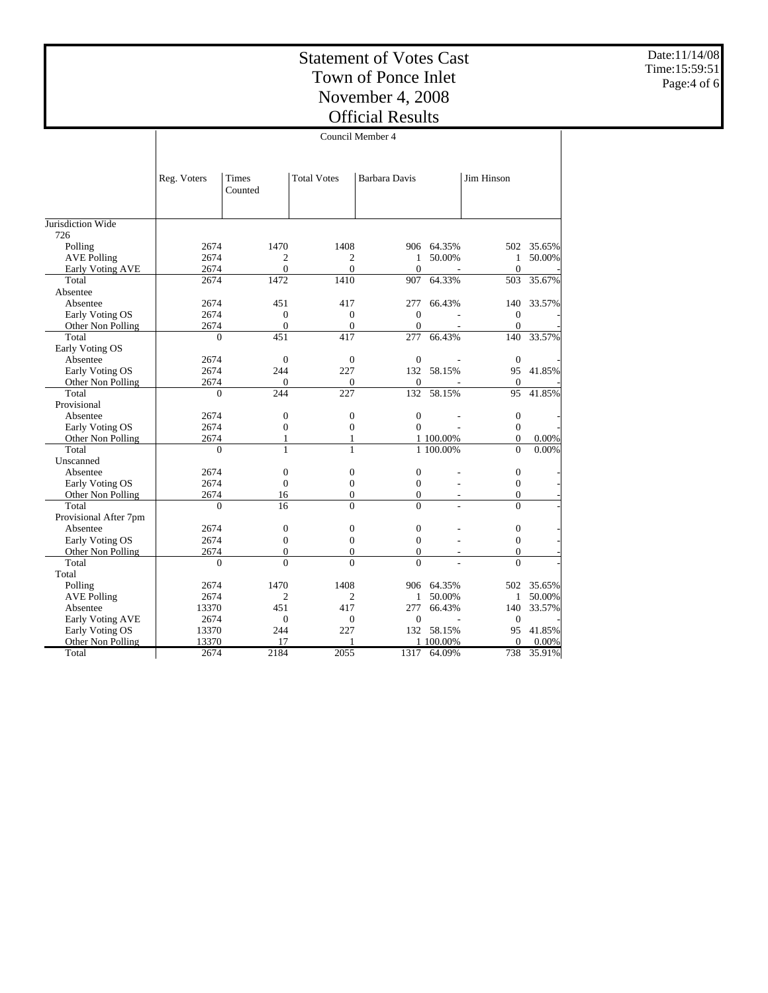Date:11/14/08 Time:15:59:51 Page:4 of 6

|                       | Council Member 4 |                  |                    |                      |                |                  |        |  |  |
|-----------------------|------------------|------------------|--------------------|----------------------|----------------|------------------|--------|--|--|
|                       | Reg. Voters      | Times<br>Counted | <b>Total Votes</b> | <b>Barbara Davis</b> |                | Jim Hinson       |        |  |  |
| Jurisdiction Wide     |                  |                  |                    |                      |                |                  |        |  |  |
| 726                   |                  |                  |                    |                      |                |                  |        |  |  |
| Polling               | 2674             | 1470             | 1408               |                      | 906 64.35%     | 502              | 35.65% |  |  |
| <b>AVE Polling</b>    | 2674             | $\overline{c}$   | $\mathbf{2}$       | $\mathbf{1}$         | 50.00%         | $\mathbf{1}$     | 50.00% |  |  |
| Early Voting AVE      | 2674             | $\mathbf{0}$     | $\mathbf{0}$       | $\theta$             | $\blacksquare$ | $\mathbf{0}$     |        |  |  |
| Total                 | 2674             | 1472             | 1410               | 907                  | 64.33%         | 503              | 35.67% |  |  |
| Absentee              |                  |                  |                    |                      |                |                  |        |  |  |
| Absentee              | 2674             | 451              | 417                | 277                  | 66.43%         | 140              | 33.57% |  |  |
| Early Voting OS       | 2674             | $\mathbf{0}$     | $\mathbf{0}$       | $\Omega$             |                | $\mathbf{0}$     |        |  |  |
| Other Non Polling     | 2674             | $\overline{0}$   | $\mathbf{0}$       | $\theta$             | L,             | $\mathbf{0}$     |        |  |  |
| Total                 | $\Omega$         | 451              | 417                | 277                  | 66.43%         | 140              | 33.57% |  |  |
| Early Voting OS       |                  |                  |                    |                      |                |                  |        |  |  |
| Absentee              | 2674             | $\overline{0}$   | $\mathbf{0}$       | $\theta$             |                | $\theta$         |        |  |  |
| Early Voting OS       | 2674             | 244              | 227                | 132                  | 58.15%         | 95               | 41.85% |  |  |
| Other Non Polling     | 2674             | $\overline{0}$   | $\mathbf{0}$       | $\mathbf{0}$         |                | $\mathbf{0}$     |        |  |  |
| Total                 | $\Omega$         | 244              | 227                | 132                  | 58.15%         | 95               | 41.85% |  |  |
| Provisional           |                  |                  |                    |                      |                |                  |        |  |  |
| Absentee              | 2674             | $\boldsymbol{0}$ | $\boldsymbol{0}$   | $\boldsymbol{0}$     |                | $\boldsymbol{0}$ |        |  |  |
| Early Voting OS       | 2674             | $\overline{0}$   | $\mathbf{0}$       | $\theta$             |                | $\overline{0}$   |        |  |  |
| Other Non Polling     | 2674             | $\mathbf{1}$     | $\mathbf{1}$       |                      | 1 100.00%      | $\mathbf{0}$     | 0.00%  |  |  |
| Total                 | $\Omega$         | 1                | $\mathbf{1}$       |                      | 1 100.00%      | $\Omega$         | 0.00%  |  |  |
| Unscanned             |                  |                  |                    |                      |                |                  |        |  |  |
| Absentee              | 2674             | $\overline{0}$   | $\mathbf{0}$       | $\mathbf{0}$         |                | $\mathbf{0}$     |        |  |  |
| Early Voting OS       | 2674             | $\mathbf{0}$     | $\mathbf{0}$       | $\mathbf{0}$         |                | $\mathbf{0}$     |        |  |  |
| Other Non Polling     | 2674             | 16               | $\mathbf{0}$       | $\mathbf{0}$         |                | $\mathbf{0}$     |        |  |  |
| Total                 | $\Omega$         | 16               | $\theta$           | $\Omega$             |                | $\Omega$         |        |  |  |
| Provisional After 7pm |                  |                  |                    |                      |                |                  |        |  |  |
| Absentee              | 2674             | $\boldsymbol{0}$ | $\boldsymbol{0}$   | $\boldsymbol{0}$     |                | $\boldsymbol{0}$ |        |  |  |
| Early Voting OS       | 2674             | $\boldsymbol{0}$ | $\mathbf{0}$       | $\mathbf{0}$         |                | $\mathbf{0}$     |        |  |  |
| Other Non Polling     | 2674             | $\overline{0}$   | $\mathbf{0}$       | $\Omega$             |                | $\Omega$         |        |  |  |
| Total                 | $\Omega$         | $\Omega$         | $\theta$           | $\Omega$             |                | $\Omega$         |        |  |  |
| Total                 |                  |                  |                    |                      |                |                  |        |  |  |
| Polling               | 2674             | 1470             | 1408               | 906                  | 64.35%         | 502              | 35.65% |  |  |
| <b>AVE Polling</b>    | 2674             | $\overline{2}$   | $\overline{c}$     | 1                    | 50.00%         | 1                | 50.00% |  |  |
| Absentee              | 13370            | 451              | 417                | 277                  | 66.43%         | 140              | 33.57% |  |  |
| Early Voting AVE      | 2674             | $\overline{0}$   | $\mathbf{0}$       | $\mathbf{0}$         |                | $\mathbf{0}$     |        |  |  |
| Early Voting OS       | 13370            | 244              | 227                | 132                  | 58.15%         | 95               | 41.85% |  |  |
| Other Non Polling     | 13370            | 17               | 1                  |                      | 1 100,00%      | $\mathbf{0}$     | 0.00%  |  |  |
| Total                 | 2674             | 2184             | 2055               | 1317                 | 64.09%         | 738              | 35.91% |  |  |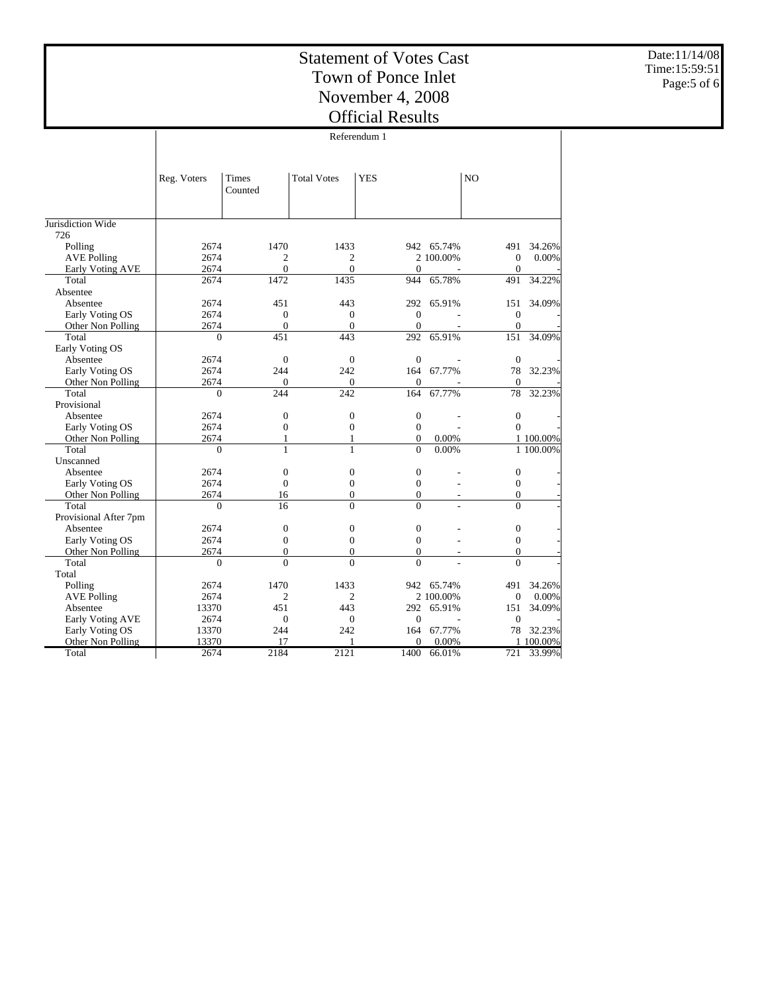Date:11/14/08 Time:15:59:51 Page:5 of 6

|                          | Referendum 1 |                  |                    |                  |            |                  |           |  |
|--------------------------|--------------|------------------|--------------------|------------------|------------|------------------|-----------|--|
|                          |              |                  |                    |                  |            |                  |           |  |
|                          | Reg. Voters  | Times<br>Counted | <b>Total Votes</b> | <b>YES</b>       |            | NO               |           |  |
|                          |              |                  |                    |                  |            |                  |           |  |
| Jurisdiction Wide<br>726 |              |                  |                    |                  |            |                  |           |  |
| Polling                  | 2674         | 1470             | 1433               |                  | 942 65.74% | 491              | 34.26%    |  |
| <b>AVE Polling</b>       | 2674         | 2                | 2                  |                  | 2 100,00%  | $\mathbf{0}$     | 0.00%     |  |
| Early Voting AVE         | 2674         | $\theta$         | $\Omega$           | $\Omega$         |            | $\Omega$         |           |  |
| Total                    | 2674         | 1472             | 1435               | 944              | 65.78%     | 491              | 34.22%    |  |
| Absentee                 |              |                  |                    |                  |            |                  |           |  |
| Absentee                 | 2674         | 451              | 443                | 292              | 65.91%     | 151              | 34.09%    |  |
| Early Voting OS          | 2674         | $\overline{0}$   | $\mathbf{0}$       | $\Omega$         |            | $\mathbf{0}$     |           |  |
| Other Non Polling        | 2674         | $\overline{0}$   | $\mathbf{0}$       | $\overline{0}$   |            | $\mathbf{0}$     |           |  |
| Total                    | $\theta$     | 451              | 443                | 292              | 65.91%     | 151              | 34.09%    |  |
| Early Voting OS          |              |                  |                    |                  |            |                  |           |  |
| Absentee                 | 2674         | $\overline{0}$   | $\mathbf{0}$       | $\mathbf{0}$     |            | $\boldsymbol{0}$ |           |  |
| Early Voting OS          | 2674         | 244              | 242                | 164              | 67.77%     | 78               | 32.23%    |  |
| Other Non Polling        | 2674         | $\overline{0}$   | $\mathbf{0}$       | $\mathbf{0}$     |            | $\mathbf{0}$     |           |  |
| Total                    | $\theta$     | 244              | 242                | 164              | 67.77%     | 78               | 32.23%    |  |
| Provisional              |              |                  |                    |                  |            |                  |           |  |
| Absentee                 | 2674         | $\overline{0}$   | $\overline{0}$     | $\mathbf{0}$     |            | $\boldsymbol{0}$ |           |  |
| Early Voting OS          | 2674         | $\boldsymbol{0}$ | $\mathbf{0}$       | $\mathbf{0}$     |            | $\Omega$         |           |  |
| Other Non Polling        | 2674         | 1                | 1                  | $\mathbf{0}$     | 0.00%      |                  | 1 100.00% |  |
| Total                    | $\theta$     | $\mathbf{1}$     | $\mathbf{1}$       | $\Omega$         | 0.00%      |                  | 1 100.00% |  |
| Unscanned                |              |                  |                    |                  |            |                  |           |  |
| Absentee                 | 2674         | $\boldsymbol{0}$ | $\boldsymbol{0}$   | $\boldsymbol{0}$ |            | 0                |           |  |
| Early Voting OS          | 2674         | $\overline{0}$   | $\overline{0}$     | $\overline{0}$   |            | $\overline{0}$   |           |  |
| Other Non Polling        | 2674         | 16               | $\mathbf{0}$       | $\boldsymbol{0}$ |            | $\boldsymbol{0}$ |           |  |
| Total                    | $\Omega$     | 16               | $\Omega$           | $\Omega$         |            | $\Omega$         |           |  |
| Provisional After 7pm    |              |                  |                    |                  |            |                  |           |  |
| Absentee                 | 2674         | $\boldsymbol{0}$ | $\boldsymbol{0}$   | $\mathbf{0}$     |            | $\boldsymbol{0}$ |           |  |
| Early Voting OS          | 2674         | $\boldsymbol{0}$ | $\boldsymbol{0}$   | $\mathbf{0}$     |            | $\boldsymbol{0}$ |           |  |
| Other Non Polling        | 2674         | $\boldsymbol{0}$ | $\overline{0}$     | $\overline{0}$   |            | $\mathbf{0}$     |           |  |
| Total                    | $\theta$     | $\Omega$         | $\Omega$           | $\Omega$         |            | $\Omega$         |           |  |
| Total                    |              |                  |                    |                  |            |                  |           |  |
| Polling                  | 2674         | 1470             | 1433               | 942              | 65.74%     | 491              | 34.26%    |  |
| <b>AVE Polling</b>       | 2674         | $\overline{2}$   | $\overline{2}$     |                  | 2 100.00%  | $\mathbf{0}$     | 0.00%     |  |
| Absentee                 | 13370        | 451              | 443                | 292              | 65.91%     | 151              | 34.09%    |  |
| Early Voting AVE         | 2674         | $\Omega$         | $\Omega$           | $\Omega$         |            | $\Omega$         |           |  |
| Early Voting OS          | 13370        | 244              | 242                | 164              | 67.77%     | 78               | 32.23%    |  |
| Other Non Polling        | 13370        | 17               |                    | $\Omega$         | 0.00%      |                  | 100.00%   |  |
| Total                    | 2674         | 2184             | 2121               | 1400             | 66.01%     | 721              | 33.99%    |  |
|                          |              |                  |                    |                  |            |                  |           |  |